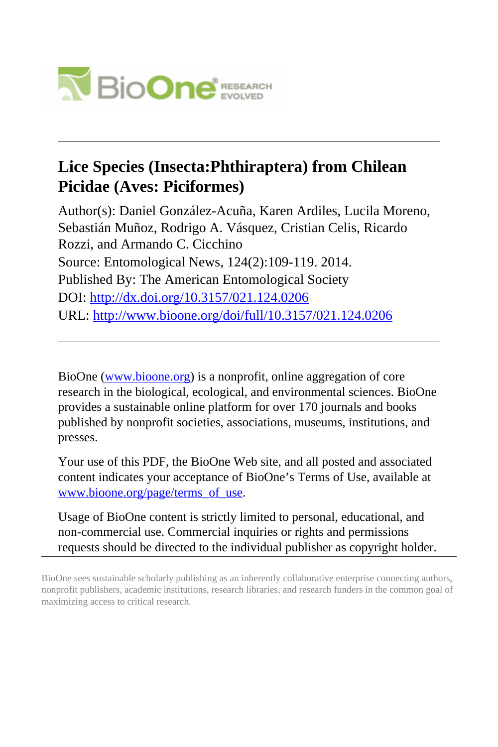

# **Lice Species (Insecta:Phthiraptera) from Chilean Picidae (Aves: Piciformes)**

Author(s): Daniel González-Acuña, Karen Ardiles, Lucila Moreno, Sebastián Muñoz, Rodrigo A. Vásquez, Cristian Celis, Ricardo Rozzi, and Armando C. Cicchino Source: Entomological News, 124(2):109-119. 2014. Published By: The American Entomological Society DOI:<http://dx.doi.org/10.3157/021.124.0206> URL: <http://www.bioone.org/doi/full/10.3157/021.124.0206>

BioOne [\(www.bioone.org\)](http://www.bioone.org) is a nonprofit, online aggregation of core research in the biological, ecological, and environmental sciences. BioOne provides a sustainable online platform for over 170 journals and books published by nonprofit societies, associations, museums, institutions, and presses.

Your use of this PDF, the BioOne Web site, and all posted and associated content indicates your acceptance of BioOne's Terms of Use, available at [www.bioone.org/page/terms\\_of\\_use](http://www.bioone.org/page/terms_of_use).

Usage of BioOne content is strictly limited to personal, educational, and non-commercial use. Commercial inquiries or rights and permissions requests should be directed to the individual publisher as copyright holder.

BioOne sees sustainable scholarly publishing as an inherently collaborative enterprise connecting authors, nonprofit publishers, academic institutions, research libraries, and research funders in the common goal of maximizing access to critical research.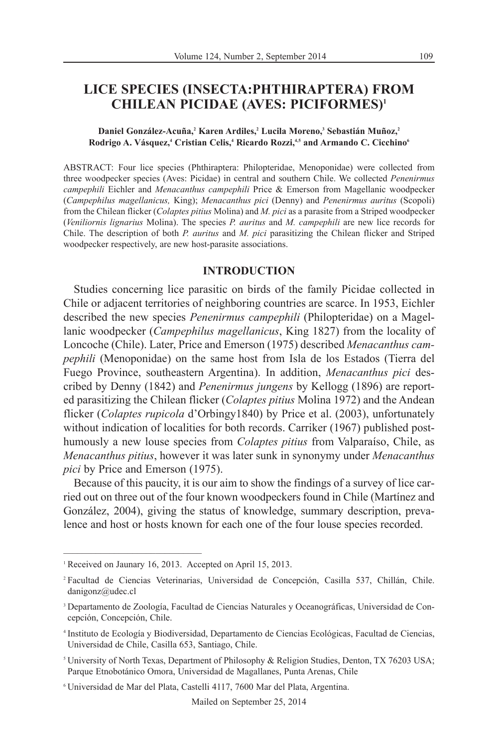## **LICE SPECIES (INSECTA:PHTHIRAPTERA) FROM CHILEAN PICIDAE (AVES: PICIFORMES)1**

#### **Daniel González-Acuña,2 Karen Ardiles,2 Lucila Moreno,3 Sebastián Muñoz,2 Rodrigo A. Vásquez,<sup>4</sup> Cristian Celis,<sup>4</sup> Ricardo Rozzi,<sup>4,5</sup> and Armando C. Cicchino<sup>6</sup>**

ABSTRACT: Four lice species (Phthiraptera: Philopteridae, Menoponidae) were collected from three woodpecker species (Aves: Picidae) in central and southern Chile. We collected *Penenirmus campephili* Eichler and *Menacanthus campephili* Price & Emerson from Magellanic woodpecker (*Campe philus magellanicus,* King); *Menacanthus pici* (Denny) and *Penenirmus auritus* (Scopoli) from the Chilean flicker (*Colaptes pitius* Molina) and *M. pici* as a parasite from a Striped woodpecker (*Veniliornis lignarius* Molina). The species *P. auritus* and *M. campephili* are new lice records for Chile. The description of both *P. auritus* and *M. pici* parasitizing the Chilean flicker and Striped woodpecker respectively, are new host-parasite associations.

### **INTRODUCTION**

Studies concerning lice parasitic on birds of the family Picidae collected in Chile or adjacent territories of neighboring countries are scarce. In 1953, Eichler described the new species *Penenirmus campephili* (Philopteridae) on a Magellanic woodpecker (*Campephilus magellanicus*, King 1827) from the locality of Loncoche (Chile). Later, Price and Emerson (1975) described *Menacanthus camp ephili* (Menoponidae) on the same host from Isla de los Estados (Tierra del Fuego Province, southeastern Argentina). In addition, *Menacanthus pici* des cribed by Denny (1842) and *Penenirmus jungens* by Kellogg (1896) are reported parasitizing the Chilean flicker (*Colaptes pitius* Molina 1972) and the Andean flicker (*Colaptes rupicola* d'Orbingy1840) by Price et al. (2003), unfortunately without indication of localities for both records. Carriker (1967) published posthu mously a new louse species from *Colaptes pitius* from Valparaíso, Chile, as *Menacanthus pitius*, however it was later sunk in synonymy under *Menacanthus pici* by Price and Emerson (1975).

Because of this paucity, it is our aim to show the findings of a survey of lice carried out on three out of the four known woodpeckers found in Chile (Martínez and González, 2004), giving the status of knowledge, summary description, prevalence and host or hosts known for each one of the four louse species recorded.

<sup>&</sup>lt;sup>1</sup> Received on Jaunary 16, 2013. Accepted on April 15, 2013.

<sup>2</sup> Facultad de Ciencias Veterinarias, Universidad de Concepción, Casilla 537, Chillán, Chile. danigonz@udec.cl

<sup>&</sup>lt;sup>3</sup> Departamento de Zoología, Facultad de Ciencias Naturales y Oceanográficas, Universidad de Concepción, Concepción, Chile.

<sup>4</sup> Instituto de Ecología y Biodiversidad, Departamento de Ciencias Ecológicas, Facultad de Ciencias, Universidad de Chile, Casilla 653, Santiago, Chile.

<sup>5</sup> University of North Texas, Department of Philosophy & Religion Studies, Denton, TX 76203 USA; Parque Etnobotánico Omora, Universidad de Magallanes, Punta Arenas, Chile

<sup>6</sup> Universidad de Mar del Plata, Castelli 4117, 7600 Mar del Plata, Argentina.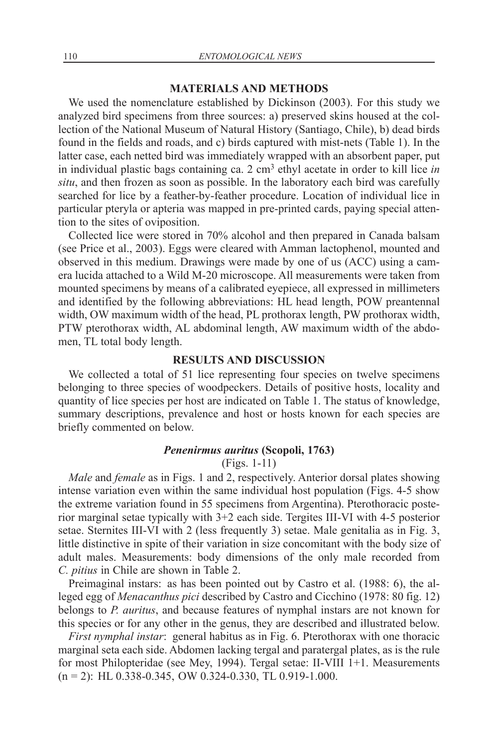#### **MATERIALS AND METHODS**

We used the nomenclature established by Dickinson (2003). For this study we analyzed bird specimens from three sources: a) preserved skins housed at the collection of the National Museum of Natural History (Santiago, Chile), b) dead birds found in the fields and roads, and c) birds captured with mist-nets (Table 1). In the latter case, each netted bird was immediately wrapped with an absorbent paper, put in individual plastic bags containing ca. 2 cm3 ethyl acetate in order to kill lice *in situ*, and then frozen as soon as possible. In the laboratory each bird was carefully searched for lice by a feather-by-feather procedure. Location of individual lice in particular pteryla or apteria was mapped in pre-printed cards, paying special attention to the sites of oviposition.

Collected lice were stored in 70% alcohol and then prepared in Canada balsam (see Price et al., 2003). Eggs were cleared with Amman lactophenol, mounted and observed in this medium. Drawings were made by one of us (ACC) using a camera lucida attached to a Wild M-20 microscope. All measurements were taken from mounted specimens by means of a calibrated eyepiece, all expressed in millimeters and identified by the following abbreviations: HL head length, POW preantennal width, OW maximum width of the head, PL prothorax length, PW prothorax width, PTW pterothorax width, AL abdominal length, AW maximum width of the abdomen, TL total body length.

## **RESULTS AND DISCUSSION**

We collected a total of 51 lice representing four species on twelve specimens belonging to three species of woodpeckers. Details of positive hosts, locality and quantity of lice species per host are indicated on Table 1. The status of knowledge, summary descriptions, prevalence and host or hosts known for each species are briefly commented on below.

## *Penenirmus auritus* **(Scopoli, 1763)**

(Figs. 1-11)

*Male* and *female* as in Figs. 1 and 2, respectively. Anterior dorsal plates showing intense variation even within the same individual host population (Figs. 4-5 show the extreme variation found in 55 specimens from Argentina). Pterothoracic posterior marginal setae typically with 3+2 each side. Tergites III-VI with 4-5 posterior setae. Sternites III-VI with 2 (less frequently 3) setae. Male genitalia as in Fig. 3, little distinctive in spite of their variation in size concomitant with the body size of adult males. Measurements: body dimensions of the only male recorded from *C. pitius* in Chile are shown in Table 2.

Preimaginal instars: as has been pointed out by Castro et al. (1988: 6), the alleged egg of *Menacanthus pici* described by Castro and Cicchino (1978: 80 fig. 12) be longs to *P. auritus*, and because features of nymphal instars are not known for this species or for any other in the genus, they are described and illustrated below.

*First nymphal instar*: general habitus as in Fig. 6. Pterothorax with one thoracic marginal seta each side. Abdomen lacking tergal and paratergal plates, as is the rule for most Philopteridae (see Mey, 1994). Tergal setae: II-VIII 1+1. Measurements  $(n = 2)$ : HL 0.338-0.345, OW 0.324-0.330, TL 0.919-1.000.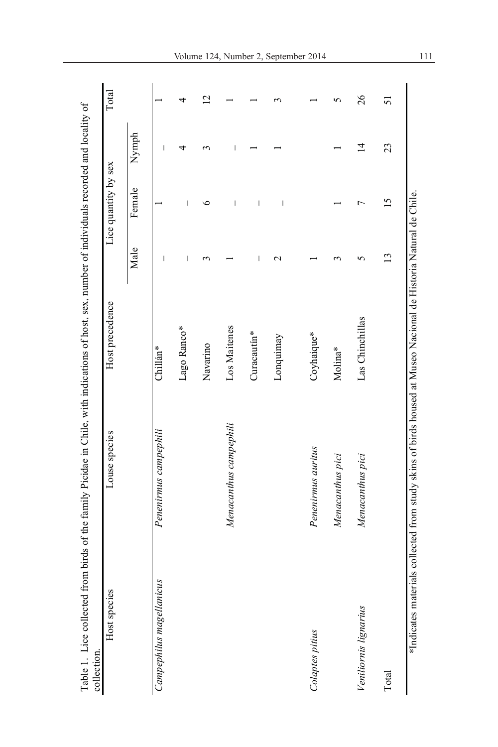| Host species             | Louse species                                                                                                   | Host precedence |                          | Lice quantity by sex |                          | Total          |
|--------------------------|-----------------------------------------------------------------------------------------------------------------|-----------------|--------------------------|----------------------|--------------------------|----------------|
|                          |                                                                                                                 |                 | Male                     | Female               | Nymph                    |                |
| Campephilus magellanicus | Penenirmus campephili                                                                                           | Chillán*        | $\overline{\phantom{a}}$ |                      | $\overline{\phantom{a}}$ |                |
|                          |                                                                                                                 | Lago Ranco*     | $\mathsf{l}$             | $\mathsf{l}$         | 4                        | 4              |
|                          |                                                                                                                 | Navarino        | S                        | 6                    | 3                        | $\overline{C}$ |
|                          | Menacanthus campephili                                                                                          | Los Maitenes    |                          | I                    | I                        |                |
|                          |                                                                                                                 | Curacautin*     | I                        | I                    |                          |                |
|                          |                                                                                                                 | Lonquimay       | $\mathbf 2$              | I                    |                          | ç              |
|                          |                                                                                                                 |                 |                          |                      |                          |                |
| Colaptes pitius          | Penenirmus auritus                                                                                              | Coyhaique*      |                          |                      |                          |                |
|                          | Menacanthus pici                                                                                                | Molina*         |                          |                      |                          | 5              |
| Veniliornis lignarius    | Menacanthus pici                                                                                                | Las Chinchillas | 5                        |                      | $\overline{4}$           | 26             |
| Total                    |                                                                                                                 |                 | $\mathbf{C}$             | $\overline{15}$      | 23                       | 51             |
|                          | *Indicates materials collected from study skins of birds housed at Museo Nacional de Historia Natural de Chile. |                 |                          |                      |                          |                |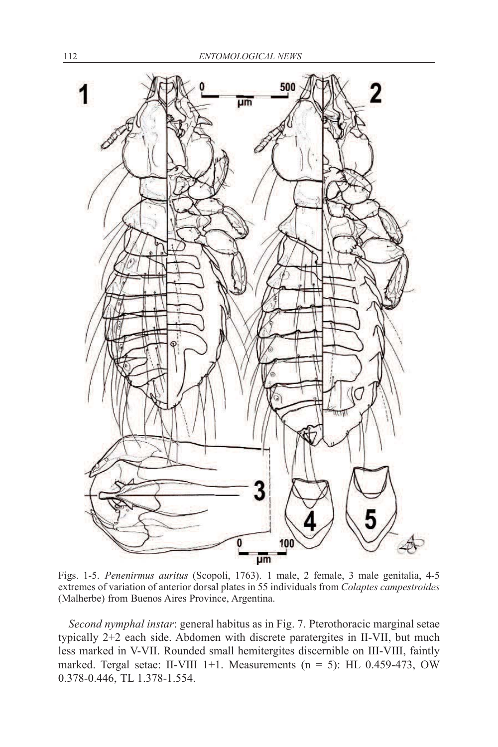

Figs. 1-5. *Penenirmus auritus* (Scopoli, 1763). 1 male, 2 female, 3 male genitalia, 4-5 extremes of variation of anterior dorsal plates in 55 individuals from *Colaptes campestroides* (Malherbe) from Buenos Aires Province, Argentina.

*Second nymphal instar*: general habitus as in Fig. 7. Pterothoracic marginal setae typically 2+2 each side. Abdomen with discrete paratergites in II-VII, but much less marked in V-VII. Rounded small hemitergites discernible on III-VIII, faintly marked. Tergal setae: II-VIII 1+1. Measurements ( $n = 5$ ): HL 0.459-473, OW 0.378-0.446, TL 1.378-1.554.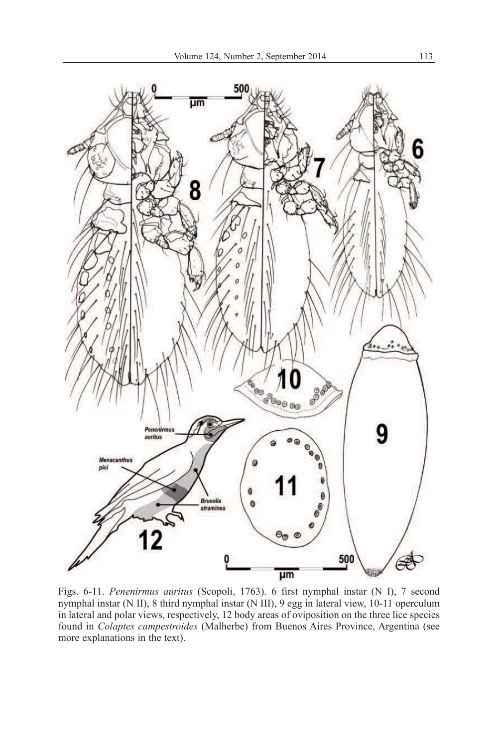

Figs. 6-11. *Penenirmus auritus* (Scopoli, 1763). 6 first nymphal instar (N I), 7 second nymphal instar (N II), 8 third nymphal instar (N III), 9 egg in lateral view, 10-11 operculum in lateral and polar views, respectively, 12 body areas of oviposition on the three lice species found in *Colaptes campestroides* (Malherbe) from Buenos Aires Province, Argentina (see more explanations in the text).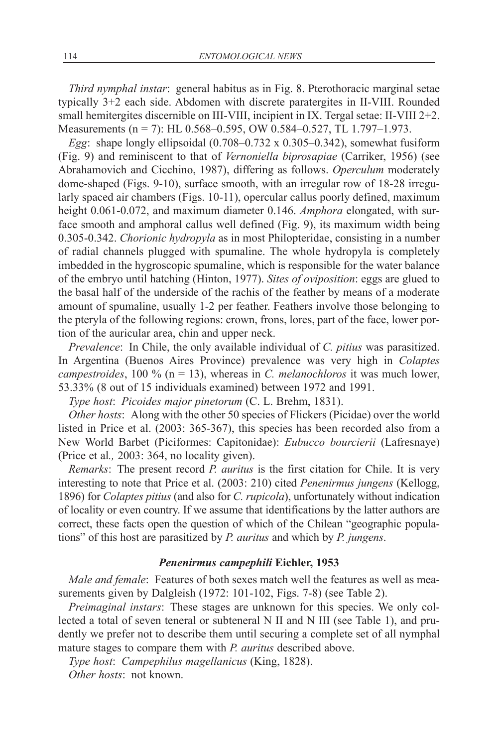*Third nymphal instar*: general habitus as in Fig. 8. Pterothoracic marginal setae typically 3+2 each side. Abdomen with discrete paratergites in II-VIII. Rounded small hemitergites discernible on III-VIII, incipient in IX. Tergal setae: II-VIII 2+2. Measurements (n = 7): HL 0.568–0.595, OW 0.584–0.527, TL 1.797–1.973.

*Egg*: shape longly ellipsoidal (0.708–0.732 x 0.305–0.342), somewhat fusiform (Fig. 9) and reminiscent to that of *Vernoniella biprosapiae* (Carriker, 1956) (see Abrahamovich and Cicchino, 1987), differing as follows. *Operculum* moderately dome-shaped (Figs. 9-10), surface smooth, with an irregular row of 18-28 irregularly spaced air chambers (Figs. 10-11), opercular callus poorly defined, maximum height 0.061-0.072, and maximum diameter 0.146. *Amphora* elongated, with surface smooth and amphoral callus well defined (Fig. 9), its maximum width being 0.305-0.342. *Chorionic hydropyla* as in most Philopteridae, consisting in a number of radial channels plugged with spumaline. The whole hydropyla is completely imbedded in the hygroscopic spumaline, which is responsible for the water balance of the embryo until hatching (Hinton, 1977). *Sites of oviposition*: eggs are glued to the basal half of the underside of the rachis of the feather by means of a moderate amount of spumaline, usually 1-2 per feather. Feathers involve those belonging to the pteryla of the following regions: crown, frons, lores, part of the face, lower portion of the auricular area, chin and upper neck.

*Prevalence*: In Chile, the only available individual of *C. pitius* was parasitized. In Argentina (Buenos Aires Province) prevalence was very high in *Colaptes campestroides*, 100 % (n = 13), whereas in *C. melanochloros* it was much lower, 53.33% (8 out of 15 individuals examined) between 1972 and 1991.

*Type host*: *Picoides major pinetorum* (C. L. Brehm, 1831).

*Other hosts*: Along with the other 50 species of Flickers (Picidae) over the world listed in Price et al. (2003: 365-367), this species has been recorded also from a New World Barbet (Piciformes: Capitonidae): *Eubucco bourcierii* (Lafresnaye) (Price et al*.,* 2003: 364, no locality given).

*Remarks*: The present record *P. auritus* is the first citation for Chile. It is very interesting to note that Price et al. (2003: 210) cited *Penenirmus jungens* (Kellogg, 1896) for *Colaptes pitius* (and also for *C. rupicola*), unfortunately without indication of locality or even country. If we assume that identifications by the latter authors are correct, these facts open the question of which of the Chilean "geographic populations" of this host are parasitized by *P. auritus* and which by *P. jungens*.

## *Penenirmus campephili* **Eichler, 1953**

*Male and female*: Features of both sexes match well the features as well as measurements given by Dalgleish (1972: 101-102, Figs. 7-8) (see Table 2).

*Preimaginal instars*: These stages are unknown for this species. We only collected a total of seven teneral or subteneral N II and N III (see Table 1), and prudently we prefer not to describe them until securing a complete set of all nymphal mature stages to compare them with *P. auritus* described above.

*Type host*: *Campephilus magellanicus* (King, 1828).

*Other hosts*: not known.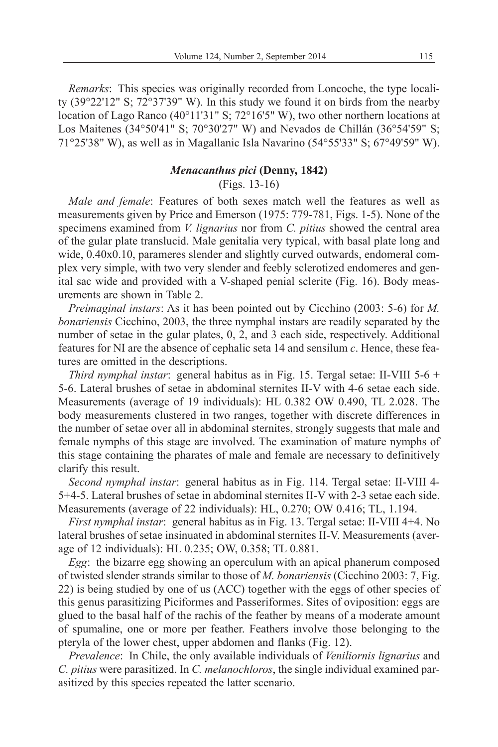*Remarks*: This species was originally recorded from Loncoche, the type locality (39°22'12" S; 72°37'39" W). In this study we found it on birds from the nearby location of Lago Ranco (40°11'31" S; 72°16'5" W), two other northern locations at Los Maitenes (34°50'41" S; 70°30'27" W) and Nevados de Chillán (36°54'59" S; 71°25'38" W), as well as in Magallanic Isla Navarino (54°55'33" S; 67°49'59" W).

## *Menacanthus pici* **(Denny, 1842)**

(Figs. 13-16)

*Male and female*: Features of both sexes match well the features as well as measurements given by Price and Emerson (1975: 779-781, Figs. 1-5). None of the specimens examined from *V. lignarius* nor from *C. pitius* showed the central area of the gular plate translucid. Male genitalia very typical, with basal plate long and wide,  $0.40x0.10$ , parameres slender and slightly curved outwards, endomeral complex very simple, with two very slender and feebly sclerotized endomeres and genital sac wide and provided with a V-shaped penial sclerite (Fig. 16). Body measurements are shown in Table 2.

*Preimaginal instars*: As it has been pointed out by Cicchino (2003: 5-6) for *M. bonariensis* Cicchino, 2003, the three nymphal instars are readily separated by the number of setae in the gular plates,  $0, 2$ , and  $3$  each side, respectively. Additional features for NI are the absence of cephalic seta 14 and sensilum *c*. Hence, these features are omitted in the descriptions.

*Third nymphal instar*: general habitus as in Fig. 15. Tergal setae: II-VIII 5-6 + 5-6. Lateral brushes of setae in abdominal sternites II-V with 4-6 setae each side. Measurements (average of 19 individuals): HL 0.382 OW 0.490, TL 2.028. The body measurements clustered in two ranges, together with discrete differences in the number of setae over all in abdominal sternites, strongly suggests that male and female nymphs of this stage are involved. The examination of mature nymphs of this stage containing the pharates of male and female are necessary to definitively clarify this result.

*Second nymphal instar*: general habitus as in Fig. 114. Tergal setae: II-VIII 4- 5+4-5. Lateral brushes of setae in abdominal sternites II-V with 2-3 setae each side. Measurements (average of 22 individuals): HL, 0.270; OW 0.416; TL, 1.194.

*First nymphal instar*: general habitus as in Fig. 13. Tergal setae: II-VIII 4+4. No lateral brushes of setae insinuated in abdominal sternites II-V. Measurements (average of 12 individuals): HL 0.235; OW, 0.358; TL 0.881.

*Egg*: the bizarre egg showing an operculum with an apical phanerum composed of twisted slender strands similar to those of *M. bonariensis* (Cicchino 2003: 7, Fig. 22) is being studied by one of us (ACC) together with the eggs of other species of this genus parasitizing Piciformes and Passeriformes. Sites of oviposition: eggs are glued to the basal half of the rachis of the feather by means of a moderate amount of spumaline, one or more per feather. Feathers involve those belonging to the pteryla of the lower chest, upper abdomen and flanks (Fig. 12).

*Prevalence*: In Chile, the only available individuals of *Veniliornis lignarius* and *C. pitius* were parasitized. In *C. melanochloros*, the single individual examined parasitized by this species repeated the latter scenario.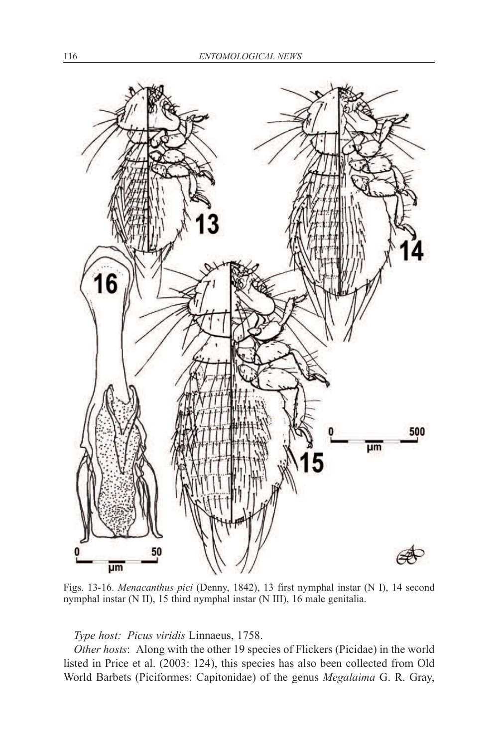

Figs. 13-16. *Menacanthus pici* (Denny, 1842), 13 first nymphal instar (N I), 14 second nymphal instar (N II), 15 third nymphal instar (N III), 16 male genitalia.

## *Type host: Picus viridis* Linnaeus, 1758.

*Other hosts*: Along with the other 19 species of Flickers (Picidae) in the world listed in Price et al. (2003: 124), this species has also been collected from Old World Barbets (Piciformes: Capitonidae) of the genus *Megalaima* G. R. Gray,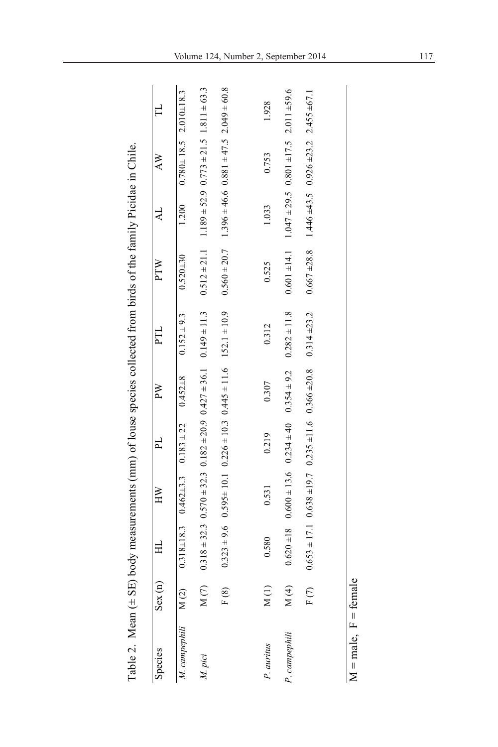| ly Picidae in Chile          |        |
|------------------------------|--------|
|                              |        |
| $\sqrt{f}$                   |        |
|                              |        |
| aniar no<br>-- יי פעושטע אי- |        |
| $\frac{1}{2}$                |        |
|                              |        |
|                              |        |
|                              |        |
| $1$ call $(1 + 5)$           |        |
| Takl                         | .<br>C |

| Species                                                    | Sex(n) | $\frac{1}{1}$ | $\cong$                                                        | $\mathbb{F}$ | $\mathbb{R}^N$ |                                                                                                                                                          |                |       |                                                                     |       |
|------------------------------------------------------------|--------|---------------|----------------------------------------------------------------|--------------|----------------|----------------------------------------------------------------------------------------------------------------------------------------------------------|----------------|-------|---------------------------------------------------------------------|-------|
| M. campephili M(2) 0.318±18.3 0.462±3.3 0.183 ± 22 0.452±8 |        |               |                                                                |              |                | $0.152 \pm 9.3$                                                                                                                                          | $0.520 \pm 30$ |       | $1.200$ $0.780 \pm 18.5$ $2.010 \pm 18.3$                           |       |
| M. pici                                                    | M(7)   |               |                                                                |              |                | $0.318 \pm 32.3$ $0.570 \pm 32.3$ $0.182 \pm 20.9$ $0.427 \pm 36.1$ $0.149 \pm 11.3$ $0.512 \pm 21.1$ $1.189 \pm 52.9$ $0.773 \pm 21.5$ $1.811 \pm 63.3$ |                |       |                                                                     |       |
|                                                            | F(8)   |               |                                                                |              |                | $0.323 \pm 9.6$ $0.595 \pm 10.1$ $0.226 \pm 10.3$ $0.445 \pm 11.6$ $152.1 \pm 10.9$ $0.560 \pm 20.7$ $1.396 \pm 46.6$ $0.881 \pm 47.5$ $2.049 \pm 60.8$  |                |       |                                                                     |       |
|                                                            |        |               |                                                                |              |                |                                                                                                                                                          |                |       |                                                                     |       |
| P. auritus                                                 | M(1)   | 0.580         | 0.531                                                          | 0.219        | 0.307          | 0.312                                                                                                                                                    | 0.525          | 1.033 | 0.753                                                               | 1.928 |
| P. campephili                                              | M(4)   |               | $0.620 \pm 18$ $0.600 \pm 13.6$ $0.234 \pm 40$ $0.354 \pm 9.2$ |              |                | $0.282 \pm 11.8$                                                                                                                                         |                |       | $0.601 \pm 14.1$ $1.047 \pm 29.5$ $0.801 \pm 17.5$ $2.011 \pm 59.6$ |       |
|                                                            | F(7)   |               |                                                                |              |                | $0.653 \pm 17.1$ $0.638 \pm 19.7$ $0.235 \pm 11.6$ $0.366 \pm 20.8$ $0.314 \pm 23.2$                                                                     |                |       | $0.667 \pm 28.8$ 1.446 $\pm 43.5$ 0.926 $\pm 23.2$ 2.455 $\pm 67.1$ |       |
|                                                            |        |               |                                                                |              |                |                                                                                                                                                          |                |       |                                                                     |       |

 $M = male$ ,  $F = female$  $M = male$ ,  $F = female$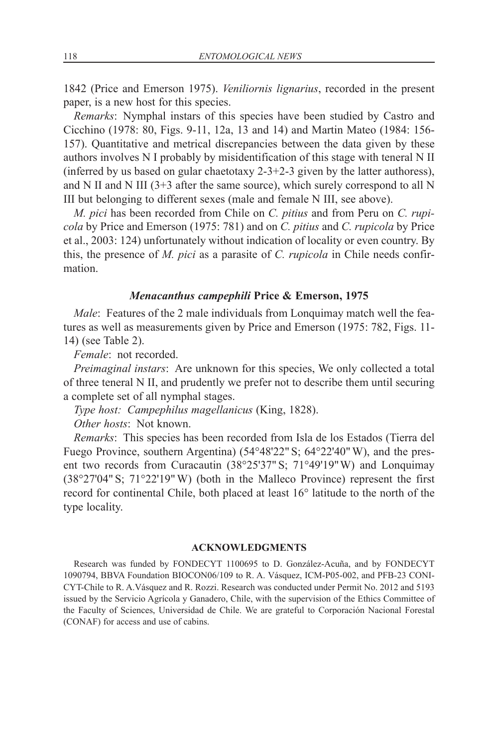1842 (Price and Emerson 1975). *Veniliornis lignarius*, recorded in the present paper, is a new host for this species.

*Remarks*: Nymphal instars of this species have been studied by Castro and Cicchino (1978: 80, Figs. 9-11, 12a, 13 and 14) and Martin Mateo (1984: 156- 157). Quantitative and metrical discrepancies between the data given by these authors involves N I probably by misidentification of this stage with teneral N II (inferred by us based on gular chaetotaxy 2-3+2-3 given by the latter authoress), and N II and N III (3+3 after the same source), which surely correspond to all N III but belonging to different sexes (male and female N III, see above).

*M. pici* has been recorded from Chile on *C. pitius* and from Peru on *C. rupicola* by Price and Emerson (1975: 781) and on *C. pitius* and *C. rupicola* by Price et al., 2003: 124) unfortunately without indication of locality or even country. By this, the presence of *M. pici* as a parasite of *C. rupicola* in Chile needs confirmation.

## *Menacanthus campephili* **Price & Emerson, 1975**

*Male*: Features of the 2 male individuals from Lonquimay match well the features as well as measurements given by Price and Emerson (1975: 782, Figs. 11- 14) (see Table 2).

*Female*: not recorded.

*Preimaginal instars*: Are unknown for this species, We only collected a total of three teneral N II, and prudently we prefer not to describe them until securing a complete set of all nymphal stages.

*Type host: Campephilus magellanicus* (King, 1828).

*Other hosts*: Not known.

*Remarks*: This species has been recorded from Isla de los Estados (Tierra del Fuego Province, southern Argentina) (54°48'22" S; 64°22'40" W), and the present two records from Curacautin (38°25'37" S; 71°49'19" W) and Lonquimay (38°27'04" S; 71°22'19" W) (both in the Malleco Province) represent the first record for continental Chile, both placed at least 16° latitude to the north of the type locality.

#### **ACKNOWLEDGMENTS**

Research was funded by FONDECYT 1100695 to D. González-Acuña, and by FONDECYT 1090794, BBVA Foundation BIOCON06/109 to R. A. Vásquez, ICM-P05-002, and PFB-23 CONI-CYT-Chile to R. A.Vásquez and R. Rozzi. Research was conducted under Permit No. 2012 and 5193 issued by the Servicio Agrícola y Ganadero, Chile, with the supervision of the Ethics Committee of the Faculty of Sciences, Universidad de Chile. We are grateful to Corporación Nacional Forestal (CONAF) for access and use of cabins.